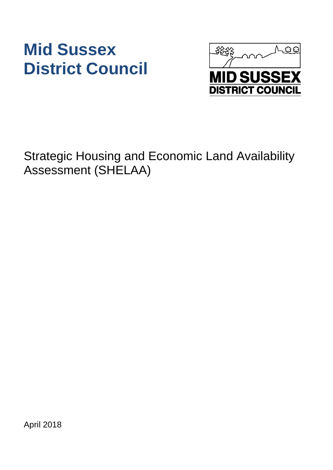# **Mid Sussex District Council**



Strategic Housing and Economic Land Availability Assessment (SHELAA)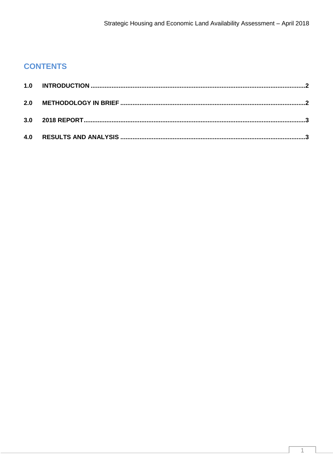## **CONTENTS**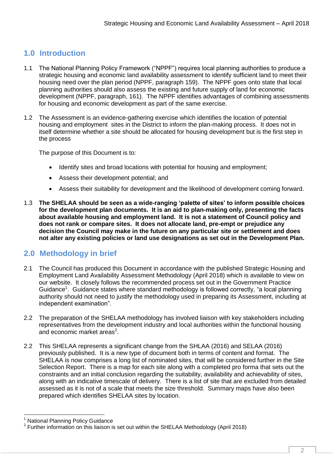### <span id="page-2-0"></span>**1.0 Introduction**

- 1.1 The National Planning Policy Framework ("NPPF") requires local planning authorities to produce a strategic housing and economic land availability assessment to identify sufficient land to meet their housing need over the plan period (NPPF, paragraph 159). The NPPF goes onto state that local planning authorities should also assess the existing and future supply of land for economic development (NPPF, paragraph, 161). The NPPF identifies advantages of combining assessments for housing and economic development as part of the same exercise.
- 1.2 The Assessment is an evidence-gathering exercise which identifies the location of potential housing and employment sites in the District to inform the plan-making process. It does not in itself determine whether a site should be allocated for housing development but is the first step in the process

The purpose of this Document is to:

- Identify sites and broad locations with potential for housing and employment;
- Assess their development potential; and
- Assess their suitability for development and the likelihood of development coming forward.
- 1.3 **The SHELAA should be seen as a wide-ranging 'palette of sites' to inform possible choices for the development plan documents. It is an aid to plan-making only, presenting the facts about available housing and employment land. It is not a statement of Council policy and does not rank or compare sites. It does not allocate land, pre-empt or prejudice any decision the Council may make in the future on any particular site or settlement and does not alter any existing policies or land use designations as set out in the Development Plan.**

#### <span id="page-2-1"></span>**2.0 Methodology in brief**

- 2.1 The Council has produced this Document in accordance with the published Strategic Housing and Employment Land Availability Assessment Methodology (April 2018) which is available to view on our website. It closely follows the recommended process set out in the Government Practice Guidance<sup>1</sup>. Guidance states where standard methodology is followed correctly, "a local planning authority should not need to justify the methodology used in preparing its Assessment, including at independent examination".
- 2.2 The preparation of the SHELAA methodology has involved liaison with key stakeholders including representatives from the development industry and local authorities within the functional housing and economic market areas<sup>2</sup>.
- 2.2 This SHELAA represents a significant change from the SHLAA (2016) and SELAA (2016) previously published. It is a new type of document both in terms of content and format. The SHELAA is now comprises a long list of nominated sites, that will be considered further in the Site Selection Report. There is a map for each site along with a completed pro forma that sets out the constraints and an initial conclusion regarding the suitability, availability and achievability of sites, along with an indicative timescale of delivery. There is a list of site that are excluded from detailed assessed as it is not of a scale that meets the size threshold. Summary maps have also been prepared which identifies SHELAA sites by location.

 <sup>1</sup> National Planning Policy Guidance

 $2$  Further information on this liaison is set out within the SHELAA Methodology (April 2018)